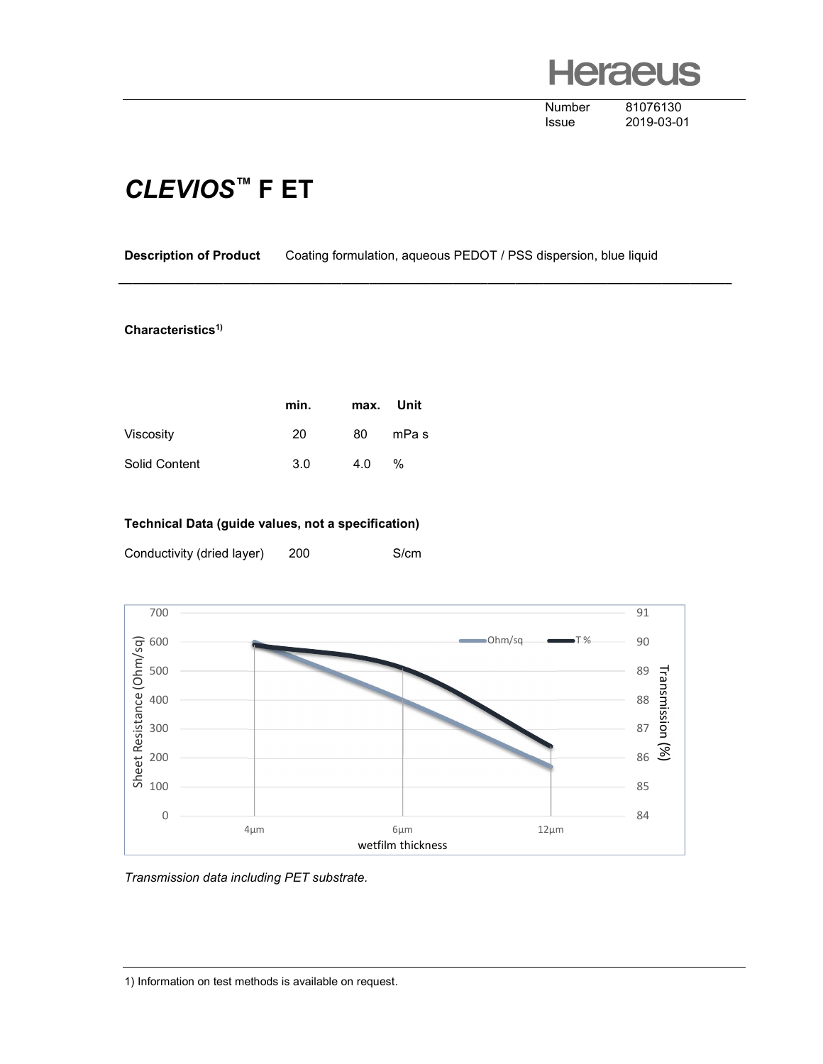# **leraeus**

Number 81076130

Issue 2019-03-01

### CLEVIOS™ F ET

Description of Product Coating formulation, aqueous PEDOT / PSS dispersion, blue liquid

\_\_\_\_\_\_\_\_\_\_\_\_\_\_\_\_\_\_\_\_\_\_\_\_\_\_\_\_\_\_\_\_\_\_\_\_\_\_\_\_\_\_\_\_\_\_\_\_\_\_\_\_\_\_\_\_\_\_\_\_\_\_\_\_\_\_\_\_\_\_\_\_\_\_\_\_\_\_\_\_\_\_\_\_\_\_\_\_

#### Characteristics<sup>1)</sup>

|               | min. | max. Unit |       |
|---------------|------|-----------|-------|
| Viscosity     | 20   | 80        | mPa s |
| Solid Content | 3.0  | 4.0       | %     |

### Technical Data (guide values, not a specification)

Conductivity (dried layer) 200 S/cm



Transmission data including PET substrate.

1) Information on test methods is available on request.